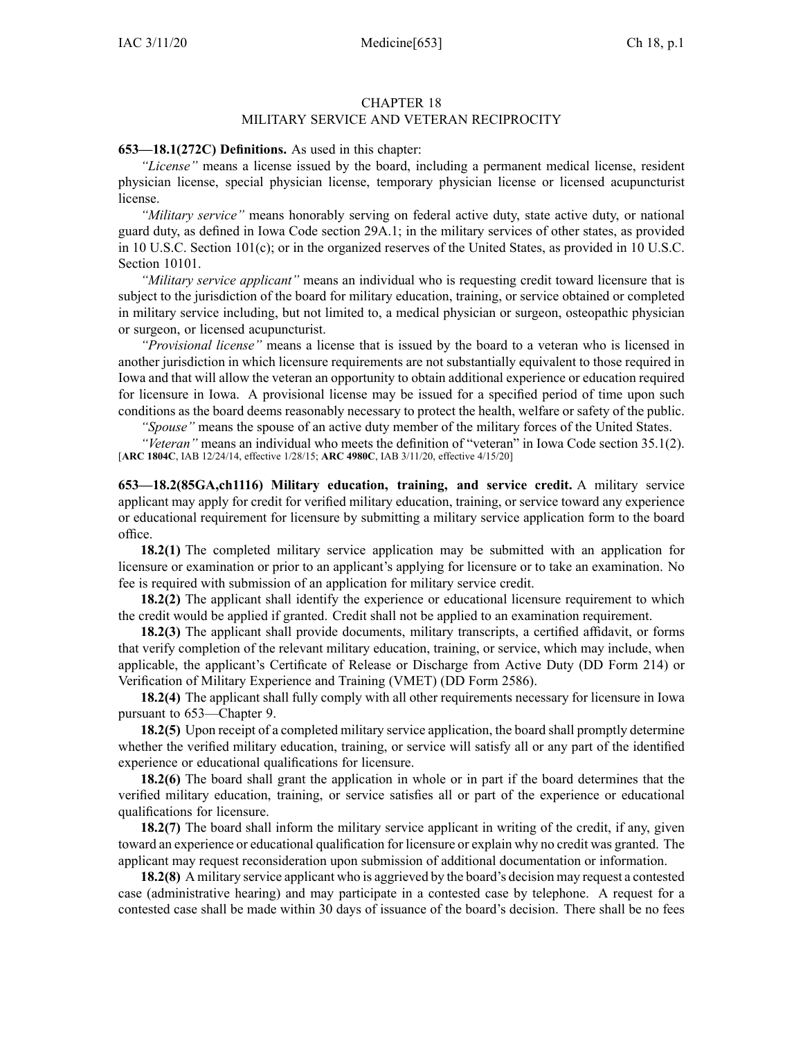## CHAPTER 18

## MILITARY SERVICE AND VETERAN RECIPROCITY

## **653—18.1(272C) Definitions.** As used in this chapter:

*"License"* means <sup>a</sup> license issued by the board, including <sup>a</sup> permanen<sup>t</sup> medical license, resident physician license, special physician license, temporary physician license or licensed acupuncturist license.

*"Military service"* means honorably serving on federal active duty, state active duty, or national guard duty, as defined in Iowa Code section [29A.1](https://www.legis.iowa.gov/docs/ico/section/29A.1.pdf); in the military services of other states, as provided in 10 U.S.C. Section 101(c); or in the organized reserves of the United States, as provided in 10 U.S.C. Section 10101.

*"Military service applicant"* means an individual who is requesting credit toward licensure that is subject to the jurisdiction of the board for military education, training, or service obtained or completed in military service including, but not limited to, <sup>a</sup> medical physician or surgeon, osteopathic physician or surgeon, or licensed acupuncturist.

*"Provisional license"* means <sup>a</sup> license that is issued by the board to <sup>a</sup> veteran who is licensed in another jurisdiction in which licensure requirements are not substantially equivalent to those required in Iowa and that will allow the veteran an opportunity to obtain additional experience or education required for licensure in Iowa. A provisional license may be issued for <sup>a</sup> specified period of time upon such conditions as the board deems reasonably necessary to protect the health, welfare or safety of the public.

*"Spouse"* means the spouse of an active duty member of the military forces of the United States.

*"Veteran"* means an individual who meets the definition of "veteran" in Iowa Code section [35.1\(2\)](https://www.legis.iowa.gov/docs/ico/section/35.1.pdf). [**ARC [1804C](https://www.legis.iowa.gov/docs/aco/arc/1804C.pdf)**, IAB 12/24/14, effective 1/28/15; **ARC [4980C](https://www.legis.iowa.gov/docs/aco/arc/4980C.pdf)**, IAB 3/11/20, effective 4/15/20]

**653—18.2(85GA,ch1116) Military education, training, and service credit.** A military service applicant may apply for credit for verified military education, training, or service toward any experience or educational requirement for licensure by submitting <sup>a</sup> military service application form to the board office.

**18.2(1)** The completed military service application may be submitted with an application for licensure or examination or prior to an applicant's applying for licensure or to take an examination. No fee is required with submission of an application for military service credit.

**18.2(2)** The applicant shall identify the experience or educational licensure requirement to which the credit would be applied if granted. Credit shall not be applied to an examination requirement.

**18.2(3)** The applicant shall provide documents, military transcripts, <sup>a</sup> certified affidavit, or forms that verify completion of the relevant military education, training, or service, which may include, when applicable, the applicant's Certificate of Release or Discharge from Active Duty (DD Form 214) or Verification of Military Experience and Training (VMET) (DD Form 2586).

**18.2(4)** The applicant shall fully comply with all other requirements necessary for licensure in Iowa pursuan<sup>t</sup> to [653—Chapter](https://www.legis.iowa.gov/docs/iac/chapter/653.9.pdf) 9.

**18.2(5)** Upon receipt of a completed military service application, the board shall promptly determine whether the verified military education, training, or service will satisfy all or any par<sup>t</sup> of the identified experience or educational qualifications for licensure.

**18.2(6)** The board shall gran<sup>t</sup> the application in whole or in par<sup>t</sup> if the board determines that the verified military education, training, or service satisfies all or par<sup>t</sup> of the experience or educational qualifications for licensure.

**18.2(7)** The board shall inform the military service applicant in writing of the credit, if any, given toward an experience or educational qualification for licensure or explain why no credit was granted. The applicant may reques<sup>t</sup> reconsideration upon submission of additional documentation or information.

**18.2(8)** A military service applicant who is aggrieved by the board's decision may reques<sup>t</sup> <sup>a</sup> contested case (administrative hearing) and may participate in <sup>a</sup> contested case by telephone. A reques<sup>t</sup> for <sup>a</sup> contested case shall be made within 30 days of issuance of the board's decision. There shall be no fees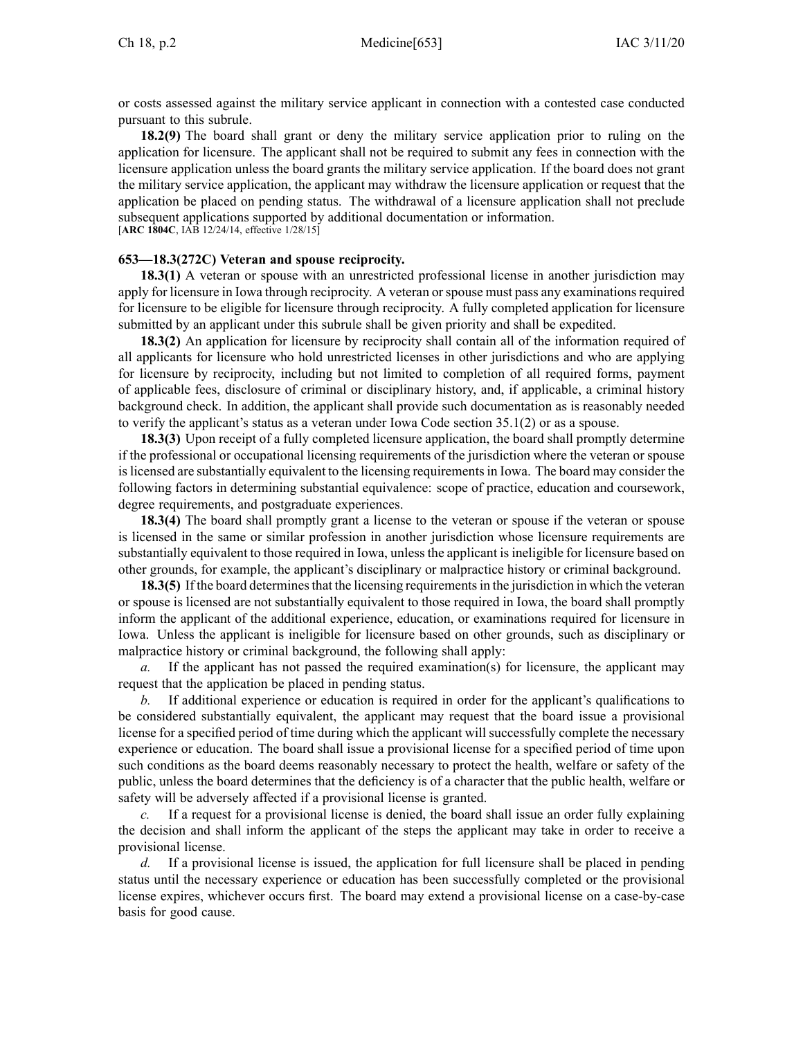or costs assessed against the military service applicant in connection with <sup>a</sup> contested case conducted pursuan<sup>t</sup> to this subrule.

**18.2(9)** The board shall gran<sup>t</sup> or deny the military service application prior to ruling on the application for licensure. The applicant shall not be required to submit any fees in connection with the licensure application unless the board grants the military service application. If the board does not gran<sup>t</sup> the military service application, the applicant may withdraw the licensure application or reques<sup>t</sup> that the application be placed on pending status. The withdrawal of <sup>a</sup> licensure application shall not preclude subsequent applications supported by additional documentation or information. [**ARC [1804C](https://www.legis.iowa.gov/docs/aco/arc/1804C.pdf)**, IAB 12/24/14, effective 1/28/15]

## **653—18.3(272C) Veteran and spouse reciprocity.**

**18.3(1)** A veteran or spouse with an unrestricted professional license in another jurisdiction may apply for licensure in Iowa through reciprocity. A veteran or spouse must pass any examinations required for licensure to be eligible for licensure through reciprocity. A fully completed application for licensure submitted by an applicant under this subrule shall be given priority and shall be expedited.

**18.3(2)** An application for licensure by reciprocity shall contain all of the information required of all applicants for licensure who hold unrestricted licenses in other jurisdictions and who are applying for licensure by reciprocity, including but not limited to completion of all required forms, paymen<sup>t</sup> of applicable fees, disclosure of criminal or disciplinary history, and, if applicable, <sup>a</sup> criminal history background check. In addition, the applicant shall provide such documentation as is reasonably needed to verify the applicant's status as <sup>a</sup> veteran under Iowa Code section [35.1\(2\)](https://www.legis.iowa.gov/docs/ico/section/35.1.pdf) or as <sup>a</sup> spouse.

**18.3(3)** Upon receipt of a fully completed licensure application, the board shall promptly determine if the professional or occupational licensing requirements of the jurisdiction where the veteran or spouse islicensed are substantially equivalent to the licensing requirementsin Iowa. The board may consider the following factors in determining substantial equivalence: scope of practice, education and coursework, degree requirements, and postgraduate experiences.

**18.3(4)** The board shall promptly gran<sup>t</sup> <sup>a</sup> license to the veteran or spouse if the veteran or spouse is licensed in the same or similar profession in another jurisdiction whose licensure requirements are substantially equivalent to those required in Iowa, unless the applicant is ineligible for licensure based on other grounds, for example, the applicant's disciplinary or malpractice history or criminal background.

**18.3(5)** If the board determines that the licensing requirements in the jurisdiction in which the veteran or spouse is licensed are not substantially equivalent to those required in Iowa, the board shall promptly inform the applicant of the additional experience, education, or examinations required for licensure in Iowa. Unless the applicant is ineligible for licensure based on other grounds, such as disciplinary or malpractice history or criminal background, the following shall apply:

*a.* If the applicant has not passed the required examination(s) for licensure, the applicant may reques<sup>t</sup> that the application be placed in pending status.

*b.* If additional experience or education is required in order for the applicant's qualifications to be considered substantially equivalent, the applicant may reques<sup>t</sup> that the board issue <sup>a</sup> provisional license for <sup>a</sup> specified period of time during which the applicant will successfully complete the necessary experience or education. The board shall issue <sup>a</sup> provisional license for <sup>a</sup> specified period of time upon such conditions as the board deems reasonably necessary to protect the health, welfare or safety of the public, unless the board determines that the deficiency is of <sup>a</sup> character that the public health, welfare or safety will be adversely affected if <sup>a</sup> provisional license is granted.

*c.* If <sup>a</sup> reques<sup>t</sup> for <sup>a</sup> provisional license is denied, the board shall issue an order fully explaining the decision and shall inform the applicant of the steps the applicant may take in order to receive <sup>a</sup> provisional license.

*d.* If <sup>a</sup> provisional license is issued, the application for full licensure shall be placed in pending status until the necessary experience or education has been successfully completed or the provisional license expires, whichever occurs first. The board may extend <sup>a</sup> provisional license on <sup>a</sup> case-by-case basis for good cause.